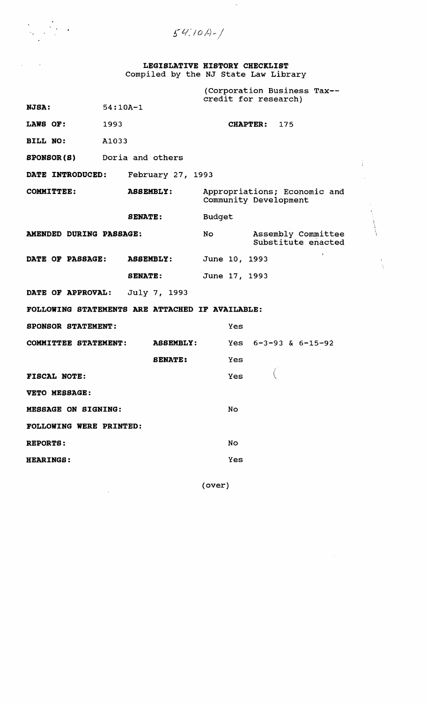$54/10/-1$ 

**LEGISLATIVE HISTORY CHECKLIST**  Compiled by the NJ state Law Library

(Corporation Business Tax credit for research) **NJSA:** 54:10A-1 **LAWS OF:** 1993 **CHAPTER:** 175 **BILL NO:** A1033 **SPONSOR(S)** Doria and others ÷. **DATE INTRODUCED:** February 27, 1993 **COMMITTEE: ASSEMBLY:** Appropriations; Economic and community Development **SENATE:** Budget **AMENDED DURING PASSAGE:** No Assembly Committee substitute enacted DATE OF PASSAGE: ASSEMBLY: June 10, 1993 **SENATE:** June 17, 1993 **DATE OF APPROVAL:** July 7, 1993 **FOLLOWING STATEMENTS ARE ATTACHED IF AVAILABLE: SPONSOR STATEMENT:** Yes **COMMITTEE STATEMENT: ASSEMBLY:** Yes 6-3-93 & 6-15-92 **SENATE:** Yes **FISCAL NOTE:** Yes ( **VETO MESSAGE: MESSAGE ON SIGNING:** No **FOLLOWING WERE PRINTED: REPORTS:** No **HEARINGS:** Yes

(over)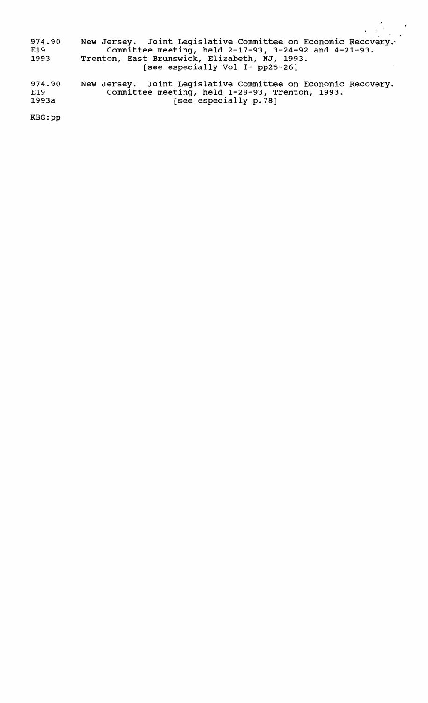974.90 Mew Jersey. Joint Legislative Committee on Economic Recovery. E19 Committee meeting, held 2-17-93, 3-24-92 and 4-21-93. 1993 Trenton, East Brunswick, Elizabeth, NJ, 1993. E Brunbwick, Brisabech, No, 199 974.90 New Jersey. Joint Legislative Committee on Economic Recovery.

E19 Committee meeting, held 1-28-93, Trenton, 1993. 1993a [see especially p.78]

KBG:pp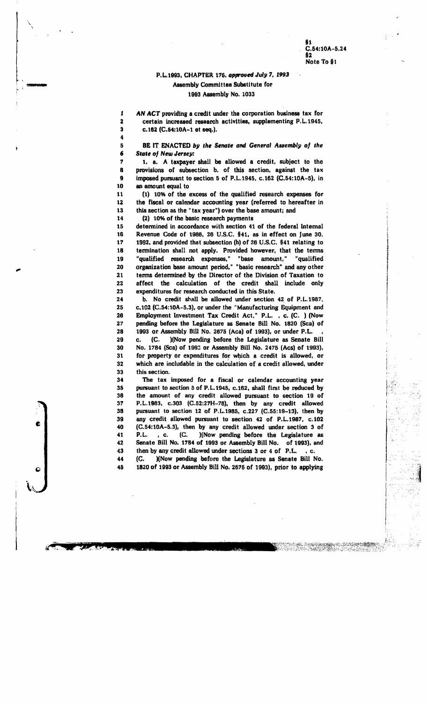i·

 $\int_0^\infty$ 

I  $\vert$  .

 $\mathbf{I}$ |<br>|-<br>|-!

### P.L.1993, CHAPTER 175. approved *July 7.* 1993<br>Assembly Committee Substitute for<br>1993 Assembly No. 1033 Assembl, Committee Substitute for 1993 Assembly No. 1033

1 AN ACT providing a credit under the corporation business tax for 2 certain increased research activities. supplementing P.L.1945. 3 c.182 (C.64:10A-l et seq.).

5 BE IT ENACTED by the Senate and *General Assembly of the* 5 BE IT ENACTED *b*<br>6 State of New Jersey:

1 1. a. A taxpayer shall be allowed a credit. subject to the 8 provisions of subsection b. of this section. against the tax 9 imposed pursuant to section 5 of P.L.1945. c.162 (C.54:10A-5). in 10 an amount equal to

11 (1) 10% of the excess of the qualified research expenses for 12 the fiscal or calendar accounting year (referred to hereafter in 13 this section as the "tax Jear") over the base amount; and

14 (2) 10% of the basic research payments '

4

15 detennined in accordance with section 41 of the federal Internal 16 Revenue Code of 1986, 26 U.S.C. §41, as in effect on June 30. 17 1992. and provided that subsection (h) of 26 U.S.C. §41 relating to 18 termination shall not apply. Provided however, that the terms 19 "qualified research expenses," "base amount," "qualified 20 organization base amount period," "basic research" and any other 21 terms detennined by the Director of the Division of Taxation to 22 affect the calculation of the credit shall include only<br>23 expenditures for research conducted in this State. expenditures for research conducted in this State.

24 b. No credit shall be allowed under section 42, of P.L.1987, 25 C.I02 (C.54:10A-5.3). or under the "Manufacturing Equipment and 26 Employment Investment Tax Credit Act," P.L., c. (C. ) (Now<br>27 pending before the Legislature as Senate Bill No. 1820 (Scal of pending before the Legislature as Senate Bill No. 1820 (Sca) of 28 1993 or Assembly Bill No. 2675 (Aca) of 1993), or under P.L. 29 c. (C. )(Now pending before the Legislature as Senate Bill 30 No. 1784 (Sea) of 1993 or Assembly Bill No. 2475 (Acs) of 1993), 31 for property or expenditures for which a credit is allowed. or 32 which are includable in the calculation of a credit allowed, under 33 this section.

34 The tax imposed for a fiscal or calendar accounting year 35 pursuant to section 5 of P.L.1945, c.162, shall first be reduced by 38 the amount of any credit allowed pursuant to section 19 of 37 P.L.1983, c.303 (C.52:27H-78), then by any credit allowed 38 pursuant to section 12 of P.L.1985. c.227 (C.55:19-13), then by 39 any credit allowed pursuant to section 42 of P.L.1987, c.l02 40 (C.54:10A-5.3), then by any credit allowed under section 3 of 41 P.L., c. (C. )(Now pending before the Legislature as 42 Senate Bill No. 1784 of 1993 or Assembly Bill No. of 1993), and 43 then by any credit allowed under sections 3 or 4 of P.L., c.

44 (C. )(Now pending before the Lesislature as Senate Bill No. 45 1820 of 1993 or Assembly Bill No. 2675 of 1993), prior to applying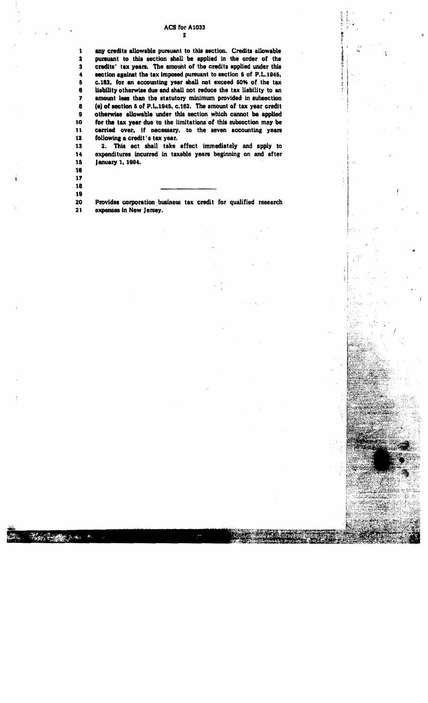### ACS for AI033

<sup>~</sup>! l 1. l. "I  $\frac{1}{2}$  $\sum_{i=1}^{n} \frac{1}{i}$ 

"

 $\frac{1}{2}$ f t i I . I

 $\mathbb{R}$ 

..

2 1 any credits allowable pursuant to this section. Credits allowable<br>2 pursuant to this section shall be applied in the order of the 2 pursuant to this section shall be applied in the order of the<br>3 credits' tax years. The amount of the credits applied under this credits' tax years. The amount of the credits applied under this 4 action against the tax imposed pursuant to section 5 of P.L.1945,<br>5 c.162, for an accounting year shall not exceed 50% of the tax 6 c.162, for an accounting year shall not exceed 50% of the tax<br>6 lisbility otherwise due and shall not reduce the tax liability to an lisbility otherwise due and shall not reduce the tax liability to an

8 (e) of section 5 of P.L.1945, c.162. The amount of tax year credit II otherwise allowable under this section which cannot be applied<br>10 for the tax year due to the limitations of this subsection may be 10 for the tax year due to the limitations of this subsection may be  $11$  carried over, if necessary, to the seven accounting years 11 carried over, if necessary, to the seven accounting years<br>12 following a credit's tax year. 12 following a credit's tax year.<br>13 2. This act shall take 2. This act shall take effect immediately and apply to 14 expenditures incurred in taxable years beginning on and after

7 amount less than the statutory minimum provided in subsection

| ٦<br>٠ |  |
|--------|--|
| ۰.     |  |

January 1, 1994.

17

18

∰ত ১.\*

 $\pmb{\hat{y}}$ 

18 Provides corporation business tax credit for qualified research 21 expenses in New Jersey.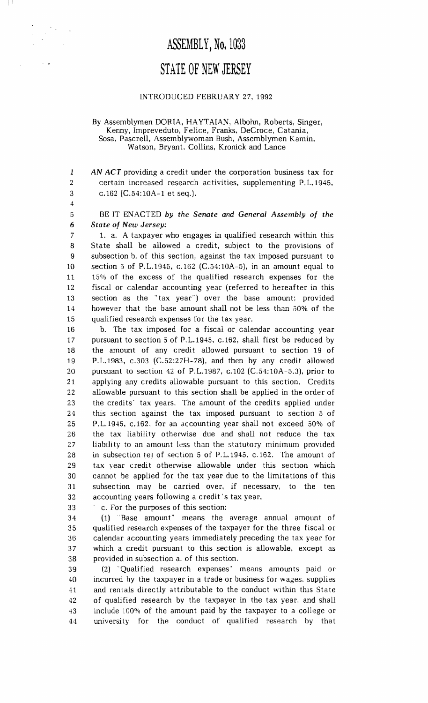# ASSEMBLY, No. 1033 STATE OF NEW JERSEY

### INTRODUCED FEBRUARY 27,1992

#### By Assemblymen DORIA, HAYTAIAN, Albohn, Roberts, Singer, Kenny, Impreveduto, Felice, Franks. DeCroce, Catania, Sosa. Pascrell, Assemblywoman Bush, Assemblymen Kamin, Watson, Bryant. Collins, Kronick and Lance

*1 AN ACT* providing a credit under the corporation business tax for 2 certain increased research activities, supplementing P. L.1945. 3 c.162 (C.54:10A-l et seq.).

4

 $\blacksquare$ 

5 BE IT ENACTED *by the Senate and General Assembly of the 6 State of New Jersey:* 

7 1. a. A taxpayer who engages in qualified research within this 8 State shall be allowed a credit, subject to the provisions of 9 subsection b. of this section, against the tax imposed pursuant to 10 section 5 of P.L.1945, c.162 (C.54:10A-5), in an amount equal to 11 15% of the excess of the qualified research expenses for the 12 fiscal or calendar accounting year (referred to hereafter in this 13 section as the "tax year") over the base amount; provided 14 however that the base amount shall not be less than 50% of the 15 qualified research expenses for the tax year.

16 b. The tax imposed for a fiscal or calendar accounting year 17 pursuant to section 5 of P.L.1945, c.162, shall first be reduced by 18 the amount of any credit allowed pursuant to section 19 of 19 P.L.1983, c.303 (C.52:27H-78), and then by any credit allowed 20 pursuant to section 42 of P.L.1987, c.102 (C.54: 10A-5.3), prior to 21 applying any credits allowable pursuant to this section. Credits 22 allowable pursuant to this section shall be applied in the order of 23 the credits' tax years. The amount of the credits applied under 24 this section against the tax imposed pursuant to section 5 of 25 P.L.1945, c.162. for an accounting year shall not exceed 50% of 26 the tax liability otherwise due and shall not reduce the tax 27 liability to an amount less than the statutory minimum provided 28 in subsection (e) of section 5 of P.L.1945. c.162. The amount of 29 tax year credit otherwise allowable under this section which 30 cannot be applied for the tax year due to the limitations of this 31 subsection may be carried over, if necessary, to the ten 32 accounting years following a credit's tax year.

33 . c. For the purposes of this section:

34 (1)" Base amount" means the average annual amount of 35 qualified research expenses of the taxpayer for the three fiscal or 36 calendar accounting years immediately preceding the tax year for 37 which a credit pursuant to this section is allowable. except as 38 provided in subsection a. of this section.

39 (2) "Qualified research expenses" means amounts paid or 40 incurred by the taxpayer in a trade or business for wages. supplies 41 and rentals directly attributable to the conduct within this State 42 of qualified research by the taxpayer in the tax year, and shall 43 include 100% of the amount paid by the taxpayer to a college or 44 university for the conduct of qualified research by that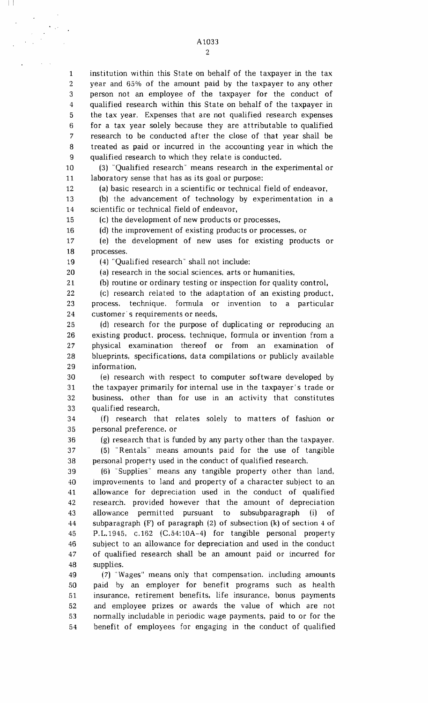A1033 2

5 1 institution within this State on behalf of the taxpayer in the tax 2 year and 65% of the amount paid by the taxpayer to any other 3 person not an employee of the taxpayer for the conduct of 4 qualified research within this State on behalf of the taxpayer in the tax year. Expenses that are not qualified research expenses 6 for a tax year solely because they are attributable to qualified 7 research to be conducted after the close of that year shall be 8 treated as paid or incurred in the accounting year in which the 9 qualified research to which they relate is conducted.

10 (3) "Qualified research" means research in the experimental or 11 laboratory sense that has as its goal or purpose:

12 (a) basic research in a scientific or technical field of endeavor,

13 (b) the advancement of technology by experimentation in a 14 scientific or technical field of endeavor,

(c) the development of new products or processes,

16 (d) the improvement of existing products or processes, or

17 (e) the development of new uses for existing products or 18 processes.

19 (4) "Qualified research" shall not include:

(a) research in the social sciences, arts or humanities,

21 (b) routine or ordinary testing or inspection for quality control,

22 (c) research related to the adaptation of an existing product. 23 process. technique. formula or invention to a particular 24 customer's requirements or needs,

25 (d) research for the purpose of duplicating or reproducing an 26 existing product. process, technique, formula or invention from a 27 physical examination thereof or from an examination of 28 blueprints, specifications, data compilations or publicly available 29 information,

30 (e) research with respect to computer software developed by 31 the taxpayer primarily for internal use in the taxpayer's trade or 32 business, other than for use in an activity that constitutes 33 qualified research,

35 34 (f) research that relates solely to matters of fashion or personal preference. or

15

I !

20

36 (g) research that is funded by any party other than the taxpayer. 37 (5) "Rentals" means amounts paid for the use of tangible 38 personal property used in the conduct of qualified research.

40 45 39 (6) "Supplies" means any tangible property other than land, improvements to land and property of a character subject to an 41 allowance for depreciation used in the conduct of qualified 42 research. provided however that the amount of depreciation 43 allowance permitted pursuant to subsubparagraph (i) of 44 subparagraph (F) of paragraph (2) of subsection (k) of section 4 of P.L.1945, c.162 (C.54:10A-4) for tangible personal property 46 subject to an allowance for depreciation and used in the conduct 47 of qualified research shall be an amount paid or incurred for 48 supplies.

50 49 (7) "Wages" means only that compensation. including amounts paid by an employer for benefit programs such as health 51 insurance, retirement benefits, life insurance, bonus payments 52 and employee prizes or awards the value of which are not 53 normally includable in periodic wage payments, paid to or for the 54 benefit of employees for engaging in the conduct of qualified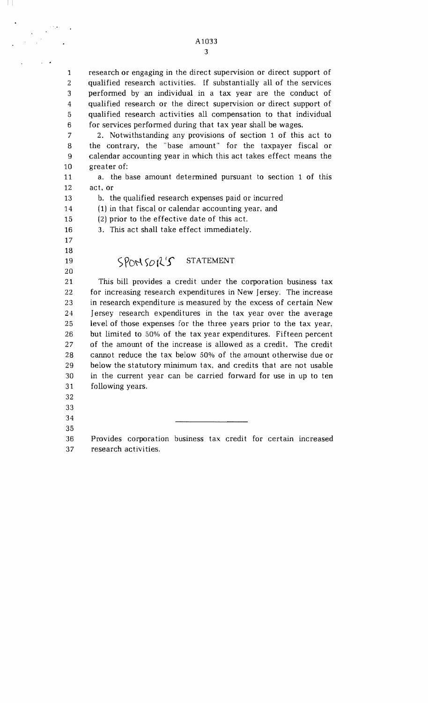5 1 research or engaging in the direct supervision or direct support of 2 qualified research activities. If substantially all of the services 3 performed by an individual in a tax year are the conduct of 4 qualified research or the direct supervision or direct support of qualified research activities all compensation to that individual 6 for services performed during that tax year shall be wages.

10 7 2. Notwithstanding any provisions of section 1 of this act to 8 the contrary, the "base amount" for the taxpayer fiscal or 9 calendar accounting year in which this act takes effect means the greater of:

11 a. the base amount determined pursuant to section 1 of this 12 act, or

13 b. the qualified research expenses paid or incurred

14 (1) in that fiscal or calendar accounting year, and

(2) prior to the effective date of this act.

16 3. This act shall take effect immediately.

### 17

15

 $\mathbb{H}$ 

- 18
- 20

### 19  $SPONSOK'S$  STATEMENT

25 30 21 This bill provides a credit under the corporation business tax 22 for increasing research expenditures in New Jersey. The increase 23 in research expenditure is measured by the excess of certain New 24 Jersey research expenditures in the tax year over the average level of those expenses for the three years prior to the tax year, 26 but limited to 50% of the tax year expenditures. Fifteen percent 27 of the amount of the increase is allowed as a credit. The credit 28 cannot reduce the tax below 50% of the amount otherwise due or 29 below the statutory minimum tax, and credits that are not usable in the current year can be carried forward for use in up to ten 31 following years.

- 32
- 33
- 35 34

36 Provides corporation business tax credit for certain increased 37 research activities.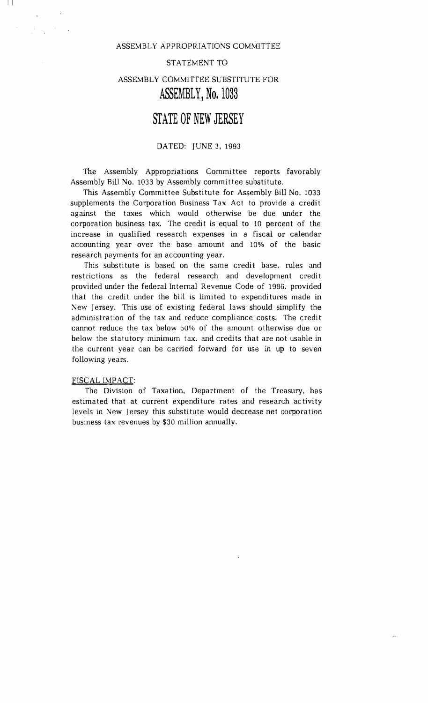### ASSEMBLY APPROPRIATIONS COMMITTEE

#### STATEMENT TO

### ASSEMBLY COMMITTEE SUBSTITUTE FOR **ASSEMBLY,** No. 1033

### **STATE OF NEW JERSEY**

### DATED: JUNE 3, 1993

The Assembly Appropriations Committee reports favorably Assembly Bill No. 1033 by Assembly committee substitute.

This Assembly Committee Substitute for Assembly Bill No. 1033 supplements the Corporation Business Tax Act to provide a credit against the taxes which would otherwise be due under the corporation business tax. The credit is equal to 10 percent of the increase in qualified research expenses in a fiscal or calendar accounting year over the base amount and 10% of the basic research payments for an accounting year.

This substitute is based on the same credit base. rules and restrictions as the federal research and development credit provided under the federal Internal Revenue Code of 1986. provided that the credit under the bill is limited to expenditures made in New Jersey. This use of existing federal laws should simplify the administration of the tax and reduce compliance costs. The credit cannot reduce the tax below 50% of the amount otherwise due or below the statutory minimum tax. and credits that are not usable in the current year can be carried forward for use in up to seven following years.

#### FISCAL IMPACT:

I I

The Division of Taxation, Department of the Treasury, has estimated that at current expenditure rates and research activity levels in New Jersey this substitute would decrease net corporation business tax revenues by \$30 million annually.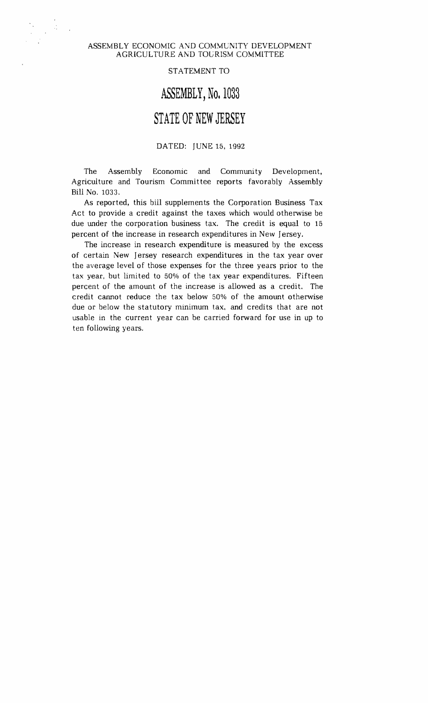### ASSEMBLY ECONOMIC AND COMMUNITY DEVELOPMENT AGRICUL TURE AND TOuRISM COMMITTEE

#### STATEMENT TO

### **ASSEMBLY,** No. 1033

# **STATE OF NEW JERSEY**

### DATED: JUNE 15, 1992

The Assembly Economic and Community Development. Agriculture and Tourism Committee reports favorably Assembly Bill No. 1033.

As reported, this bill supplements the Corporation Business Tax Act to provide a credit against the taxes which would otherwise be due under the corporation business tax. The credit is equal to 15 percent of the increase in research expenditures in New Jersey.

The increase in research expenditure is measured by the excess of certain New Jersey research expenditures in the tax year over the average level of those expenses for the three years prior to the tax year, but limited to 50% of the tax year expenditures. Fifteen percent of the amount of the increase is allowed as a credit. The credit cannot reduce the tax below 50% of the amount otherwise due or below the statutory minimum tax, and credits that are not usable in the current year can be carried forward for use in up to ten following years.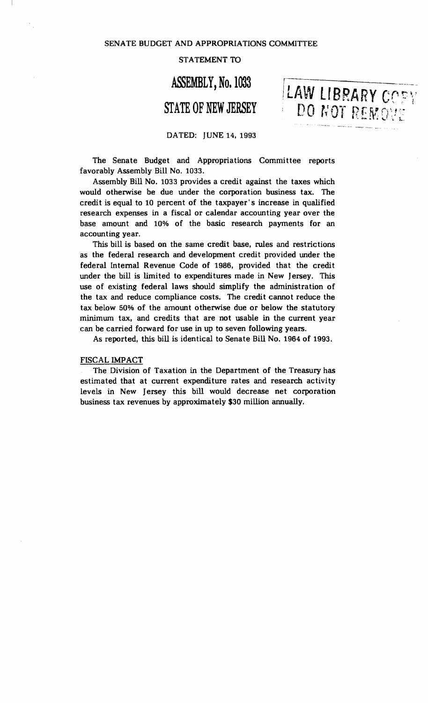SENATE BUDGET AND APPROPRIATIONS COMMITTEE

### STATEMENT TO

# ASSEMBLY, No. 1033

LAW LIBRARY COPY

DO NOT REMOVE

# **STATE OF NEW JERSEY**

### DATED: JUNE 14,1993

The Senate Budget and Appropriations Committee reports favorably Assembly Bill No. 1033.

Assembly Bill No. 1033 provides a credit against the taxes which would otherwise be due under the corporation business tax. The credit is equal to 10 percent of the taxpayer's increase in qualified research expenses in a fiscal or calendar accounting year over the base amount and 10% of the basic research payments for an accounting year.

This bill is based on the same credit base, rules and restrictions as the federal research and development credit provided under the federal Internal Revenue Code of 1986, provided that the credit under the bill is limited to expenditures made in New Jersey. This use of existing federal laws should simplify the administration of the tax and reduce compliance costs. The credit cannot reduce the tax below 50% of the amount otherwise due or below the statutory minimum tax, and credits that are not usable in the current year can be carried forward for use in up to seven following years.

As reported, this bill is identical to Senate Bill No. 1964 of 1993.

#### FISCAL IMPACT

The Division of Taxation in the Department of the Treasury has estimated that at current expenditure rates and research activity levels in New Jersey this bill would decrease net corporation business tax revenues by approximately \$30 million annually.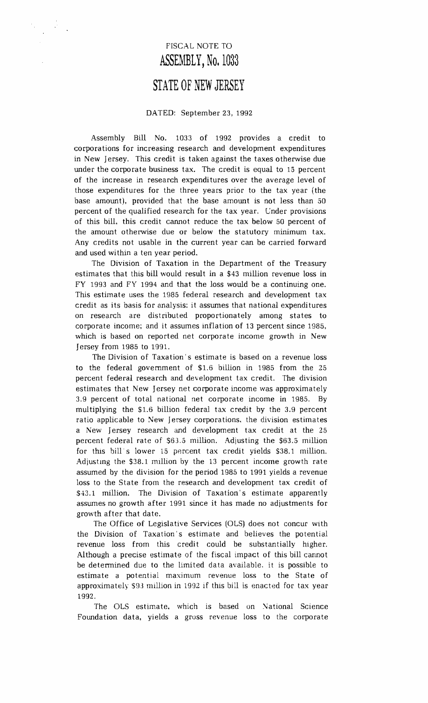# FISCAL NOTE TO **ASSEMBLY,** No. 1033

# STATE **OF NEW JERSEY**

### DATED: September 23, 1992

Assembly Bill No. 1033 of 1992 provides a credit to corporations for increasing research and development expenditures in New Jersey. This credit is taken against the taxes otherwise due under the corporate business tax. The credit is equal to 15 percent of the increase in research expenditures over the average level of those expenditures for the three years prior to the tax year (the base amount), provided that the base amount is not less than 50 percent of the qualified research for the tax year. Under provisions of this bill, this credit cannot reduce the tax below 50 percent of the amount otherwise due or below the statutory minimum tax. Any credits not usable in the current year can be carried forward and used within a ten year period.

The Division of Taxation in the Department of the Treasury estimates that this bill would result in a \$43 million revenue loss in FY 1993 and FY 1994 and that the loss would be a continuing one. This estimate uses the 1985 federal research and development tax credit as its basis for analysis: it assumes that national expenditures on research are distributed proportionately among states to corporate income; and it assumes inflation of 13 percent since 1985, which is based on reported net corporate income growth in New Jersey from 1985 to 1991.

The Division of Taxation's estimate is based on a revenue loss to the federal government of \$1.6 billion in 1985 from the 25 percent federal research and development tax credit. The division estimates that New Jersey net corporate income was approximately 3.9 percent of total national net corporate income in 1985. By multiplying the \$1.6 billion federal tax credit by the 3.9 percent ratio applicable to New Jersey corporations. the division estimates a New Jersey research and development tax credit at the 25 percent federal rate of \$63.5 million. Adjusting the \$63.5 million for this bill s lower 15 percent tax credit yields \$38.1 million. Adiustmg the \$38.1 mIllion by the 13 percent income growth rate assumed by the division for the period 1985 to 1991 yields a revenue loss to the State from the research and development tax credit of \$43.1 million. The Division of Taxation's estimate apparently assumes no growth after 1991 since it has made no adjustments for growth after that date.

The Office of Legislative Services (OLS) does not concur with the Division of Taxation's estimate and believes the potential revenue loss from this credit could be substantially higher. Although a precise estimate of the fiscal impact of this bill cannot be determined due to the limited data available. it is possible to estimate a potential maximum revenue loss to the State of approximately 59J million in 1992 if this bill is enacted for tax year 1992.

The OLS estimate, which is based on National Science Foundation data, yields a gross revenue loss to the corporate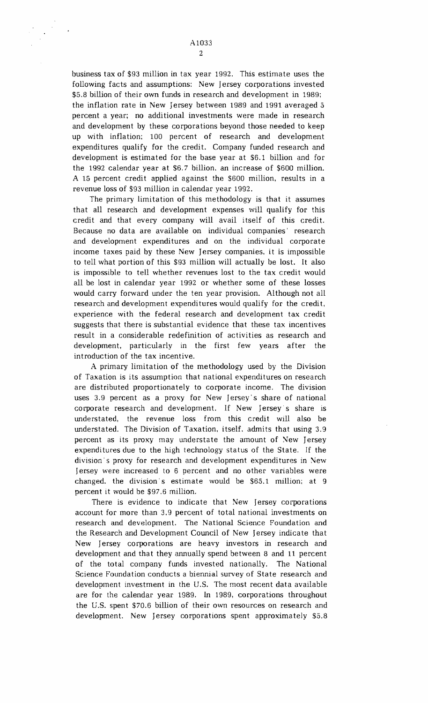business tax of \$93 million in tax year 1992. This estimate uses the following facts and assumptions: New Jersey corporations invested \$5.8 billion of their own funds in research and development in 1989; the inflation rate in New Jersey between 1989 and 1991 averaged 5 percent a year; no additional investments were made in research and development by these corporations beyond those needed to keep up with inflation; 100 percent of research and development expenditures qualify for the credit. Company funded research and development is estimated for the base year at \$6.1 billion and for the 1992 calendar year at \$6.7 billion. an increase of \$600 million. A 15 percent credit applied against the \$600 million, results in a revenue loss of \$93 million in calendar year 1992.

The primary limitation of this methodology is that it assumes that all research and development expenses will qualify for this credit and that every company will avail itself of this credit. Because no data are available on individual companies' research and development expenditures and on the individual corporate income taxes paid by these New Jersey companies. it is impossible to tell what portion of this \$93 million will actually be lost. It also is impossible to tell whether revenues lost to the tax credit would all be lost in calendar year 1992 or whether some of these losses would carry forward under the ten year provision. Although not all research and development expenditures would qualify for the credit, experience with the federal research and development tax credit suggests that there is substantial evidence that these tax incentives result in a considerable redefinition of activities as research and development, particularly in the first few years after the introduction of the tax incentive.

A primary limitation of the methodology used by the Division of Taxation is its assumption that national expenditures on research are distributed proportionately to corporate income. The division uses 3.9 percent as a proxy for New Jersey's share of national corporate research and development. If New Jersey's share is understated, the revenue loss from this credit will also be understated. The Division of Taxation, itself. admits that using 3.9 percent as its proxy may understate the amount of New Jersey expenditures due to the high technology status of the State. If the division's proxy for research and development expenditures in New Jersey were increased to 6 percent and no other variables were changed. the division's estimate would be \$65.1 million; at 9 percent it would be \$97.6 million.

There is evidence to indicate that New Jersey corporations account for more than 3.9 percent of total national investments on research and development. The National Science Foundation and the Research and Development Council of New Jersey indicate that New Jersey corporations are heavy investors in research and development and that they annually spend between 8 and 11 percent of the total company funds invested nationally. The National Science Foundation conducts a biennial survey of State research and development investment in the U.S. The most recent data available are for the calendar year 1989. In 1989, corporations throughout the U.S. spent \$70.6 billion of their own resources on research and development. New Jersey corporations spent approximately \$5.8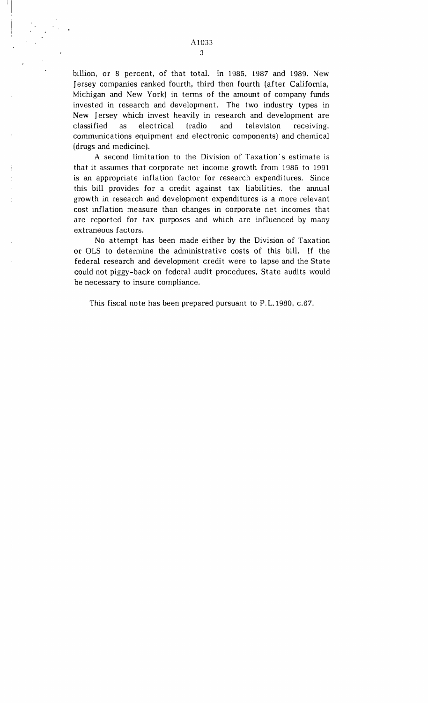billion, or 8 percent, of that total. In 1985, 1987 and 1989. New Jersey companies ranked fourth, third then fourth (after California, Michigan and New York) in terms of the amount of company funds invested in research and development. The two industry types in New Jersey which invest heavily in research and development are classified as electrical (radio and television receiving, communications equipment and electronic components) and chemical (drugs and medicine).

A second limitation to the Division of Taxation's estimate is that it assumes that corporate net income growth from 19a5 to 1991 is an appropriate inflation factor for research expenditures. Since this bill provides for a credit against tax liabilities. the annual growth in research and development expenditures is a more relevant cost inflation measure than changes in corporate net incomes that are reported for tax purposes and which are influenced by many extraneous factors.

No attempt has been made either by the Division of Taxation or OLS to determine the administrative costs of this bilL If the federal research and development credit were to lapse and the State could not piggy-back on federal audit procedures, State audits would be necessary to insure compliance.

This fiscal note has been prepared pursuant to P.L.1980, c.67.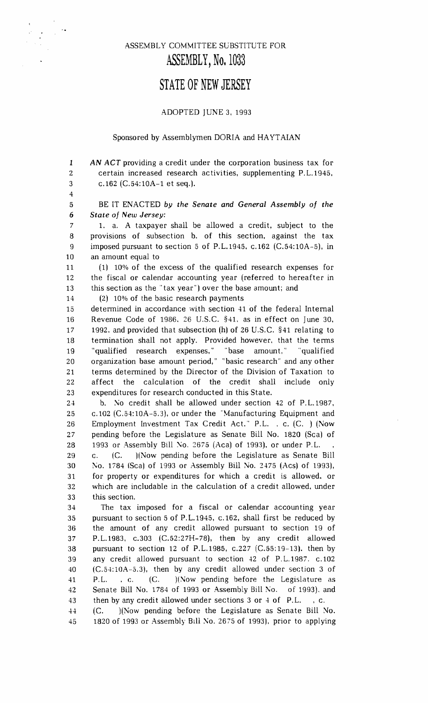### ASSEMBL Y COMMITTEE SUBSTITUTE FOR **ASSEMBLY, No.** 1033

### **STATE OF NEW JERSEY**

### ADOPTED JUNE 3, 1993

#### Sponsored by Assemblymen DORIA and HAYTAIAN

1 AN ACT providing a credit under the corporation business tax for 2 certain increased research activities, supplementing P.L.1945, 3 c.162 (C.54:10A-1 et seq.).

4

5 BE IT ENACTED *by the Senate and General Assembly of the 6 State of New Jersey:* 

7 1. a. A taxpayer shall be allowed a credit, subject to the 8 provisions of subsection b. of this section, against the tax 9 imposed pursuant to section 5 of P.L.1945, c.162 (C.54:10A-5), in 10 an amount equal to

11 (1) 10% of the excess of the qualified research expenses for 12 the fiscal or calendar accounting year (referred to hereafter in 13 this section as the "tax year") over the base amount; and

14 (2) 10% of the basic research payments

15 determined in accordance with section 41 of the federal Internal 16 Revenue Code of 1986. 26 U.S.C. §41. as in effect on June 30, 17 1992. and provided that subsection (h) of 26 U.S.C. §41 relating to 18 termination shall not apply. Provided however, that the terms 19 "qualified research expenses," "base amount." "qualified 20 organization base amount period," "basic research" and any other 21 terms determined by the Director of the Division of Taxation to 22 affect the calculation of the credit shall include only 23 expenditures for research conducted in this State.

24 b. No credit shall be allowed under section 42 of P.L.1987, 25 c.102 (C.54:10A-5.3), or under the'Manufacturing Equipment and 26 Employment Investment Tax Credit Act." P.L. , c. (C. ) (Now 27 pending before the Legislature as Senate Bill No. 1820 (Sca) of 28 1993 or Assembly Bill No. 2675 (Aca) of 1993), or under P.L. 29 c. (c. )(Now pending before the Legislature as Senate Bill 30 [\0. 1784 (Sca) of 1993 or Assembly Bill No. 2475 (Acs) of 1993), 31 for property or expenditures for which a credit is allowed. or 32 which are includable in the calculation of a credit allowed, under 33 this section.

34 The tax imposed for a fiscal or calendar accounting year 35 pursuant to section 5 of P.L.1945, c.162, shall first be reduced by 36 the amount of any credit allowed pursuant to section 19 of 37 P.L.1983, c.303 (C.52:27H-78), then by any credit allowed 38 pursuant to section 12 of P.L.1985, c.227 (C. 55: 19-13). then by 39 any credit allowed pursuant to section 42 of P.L.1987. c.102 40 (C.54:10A-5.3), then by any credit allowed under section 3 of 41 P.L. ,c. (C. )(Now pending before the Legislature as 42 Senate Bill No. 1784 of 1993 or Assembly Bill No. of 1993). and 43 then by any credit allowed under sections 3 or 4 of P.L., c. 44 (C. )(Now pending before the Legislature as Senate Bill No. 45 1820 of 1993 or Assembly Bill No. 2675 of 1993), prior to applying